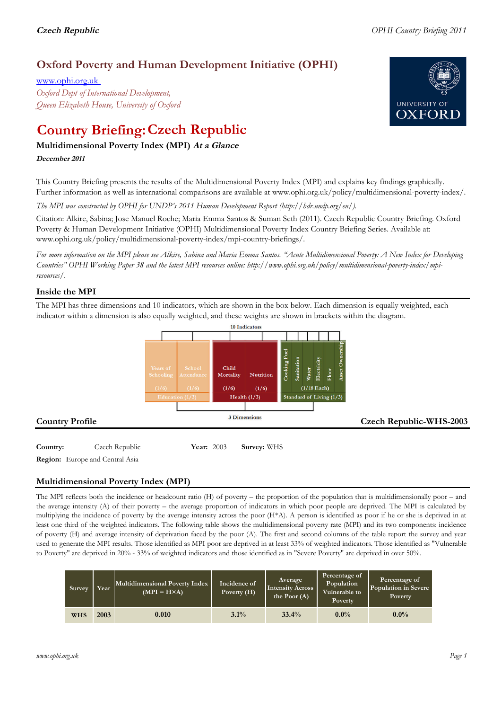## **Oxford Poverty and Human Development Initiative (OPHI)**

www.ophi.org.uk *Oxford Dept of International Development, Queen Elizabeth House, University of Oxford*

# **Country Briefing: Czech Republic**

### **Multidimensional Poverty Index (MPI) At <sup>a</sup> Glance**

**December <sup>2011</sup>**

This Country Briefing presents the results of the Multidimensional Poverty Index (MPI) and explains key findings graphically. Further information as well as international comparisons are available at www.ophi.org.uk/policy/multidimensional-poverty-index/.

*The MPI was constructed by OPHI for UNDP's 2011 Human Development Report (http://hdr.undp.org/en/).*

Citation: Alkire, Sabina; Jose Manuel Roche; Maria Emma Santos & Suman Seth (2011). Czech Republic Country Briefing. Oxford Poverty & Human Development Initiative (OPHI) Multidimensional Poverty Index Country Briefing Series. Available at: www.ophi.org.uk/policy/multidimensional-poverty-index/mpi-country-briefings/.

*For more information on the MPI please see Alkire, Sabina and Maria Emma Santos. "Acute Multidimensional Poverty: A New Index for Developing Countries" OPHI Working Paper 38 and the latest MPI resources online: http://www.ophi.org.uk/policy/multidimensional-poverty-index/mpiresources/.*

#### **Inside the MPI**

The MPI has three dimensions and 10 indicators, which are shown in the box below. Each dimension is equally weighted, each indicator within a dimension is also equally weighted, and these weights are shown in brackets within the diagram.



**Country:** 3 Czech Republic 3 2003 **Survey:** WHS **Region:** Europe and Central Asia

#### **Multidimensional Poverty Index (MPI)**

The MPI reflects both the incidence or headcount ratio (H) of poverty – the proportion of the population that is multidimensionally poor – and the average intensity (A) of their poverty – the average proportion of indicators in which poor people are deprived. The MPI is calculated by multiplying the incidence of poverty by the average intensity across the poor (H\*A). A person is identified as poor if he or she is deprived in at least one third of the weighted indicators. The following table shows the multidimensional poverty rate (MPI) and its two components: incidence of poverty (H) and average intensity of deprivation faced by the poor (A). The first and second columns of the table report the survey and year used to generate the MPI results. Those identified as MPI poor are deprived in at least 33% of weighted indicators. Those identified as "Vulnerable to Poverty" are deprived in 20% - 33% of weighted indicators and those identified as in "Severe Poverty" are deprived in over 50%.

| <b>Survey</b> | Year | Multidimensional Poverty Index<br>$(MPI = H \times A)$ | Incidence of<br>Poverty (H) | <b>Average</b><br><b>Intensity Across</b><br>the Poor $(A)$ | Percentage of<br>Population<br>Vulnerable to<br>Poverty | Percentage of<br>Population in Severe<br>Poverty |
|---------------|------|--------------------------------------------------------|-----------------------------|-------------------------------------------------------------|---------------------------------------------------------|--------------------------------------------------|
| <b>WHS</b>    | 2003 | 0.010                                                  | 3.1%                        | 33.4%                                                       | $0.0\%$                                                 | $0.0\%$                                          |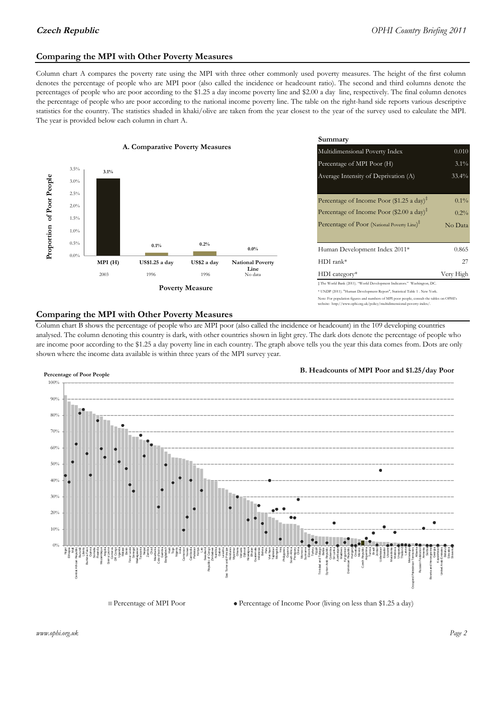#### **Comparing the MPI with Other Poverty Measures**

Column chart A compares the poverty rate using the MPI with three other commonly used poverty measures. The height of the first column denotes the percentage of people who are MPI poor (also called the incidence or headcount ratio). The second and third columns denote the percentages of people who are poor according to the \$1.25 a day income poverty line and \$2.00 a day line, respectively. The final column denotes the percentage of people who are poor according to the national income poverty line. The table on the right-hand side reports various descriptive statistics for the country. The statistics shaded in khaki/olive are taken from the year closest to the year of the survey used to calculate the MPI. The year is provided below each column in chart A.



|                |                                 | Summary                                                                                                                                                    |           |  |  |
|----------------|---------------------------------|------------------------------------------------------------------------------------------------------------------------------------------------------------|-----------|--|--|
| erty Measures  |                                 | 0.010<br>Multidimensional Poverty Index                                                                                                                    |           |  |  |
|                |                                 | Percentage of MPI Poor (H)                                                                                                                                 | $3.1\%$   |  |  |
|                |                                 | Average Intensity of Deprivation (A)                                                                                                                       | 33.4%     |  |  |
|                |                                 | Percentage of Income Poor (\$1.25 a day) <sup><math>\ddagger</math></sup>                                                                                  | $0.1\%$   |  |  |
|                |                                 | Percentage of Income Poor (\$2.00 a day) <sup><math>\bar{x}</math></sup>                                                                                   | 0.2%      |  |  |
|                |                                 | Percentage of Poor (National Poverty Line) <sup>†</sup>                                                                                                    | No Data   |  |  |
| 0.2%           | $0.0\%$                         | Human Development Index 2011*                                                                                                                              | 0.865     |  |  |
| US\$2 a day    | <b>National Poverty</b><br>Line | $HDI$ rank*                                                                                                                                                | 27        |  |  |
| 1996           | No data                         | $HDI category*$                                                                                                                                            | Very High |  |  |
| <b>Aeasure</b> |                                 | $\pm$ The World Bank (2011). "World Development Indicators." Washington, DC.<br>* UNDP (2011). "Human Development Report", Statistical Table 1 . New York. |           |  |  |

#### te: For population figures and numbers of MPI poor people, consult the tables on OPHI's te: http://www.ophi.org.uk/policy/multidimensional-poverty-index/

#### **Comparing the MPI with Other Poverty Measures**

Column chart B shows the percentage of people who are MPI poor (also called the incidence or headcount) in the 109 developing countries analysed. The column denoting this country is dark, with other countries shown in light grey. The dark dots denote the percentage of people who are income poor according to the \$1.25 a day poverty line in each country. The graph above tells you the year this data comes from. Dots are only shown where the income data available is within three years of the MPI survey year.



*www.ophi.org.uk Page 2*

Belarus Slovakia Slovenia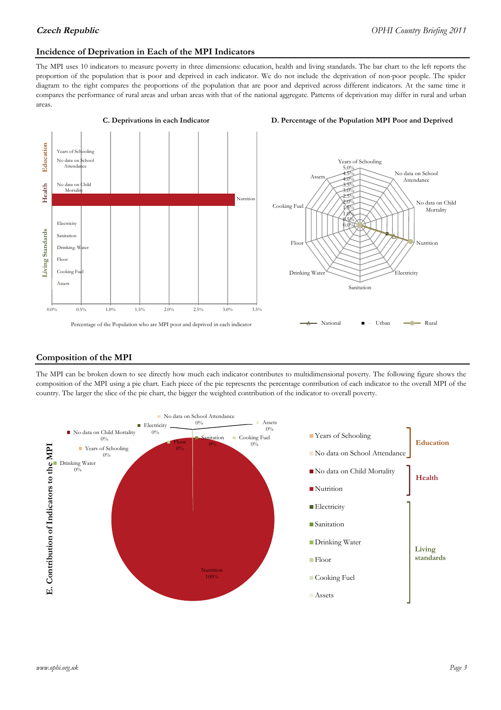#### **Incidence of Deprivation in Each of the MPI Indicators**

The MPI uses 10 indicators to measure poverty in three dimensions: education, health and living standards. The bar chart to the left reports the proportion of the population that is poor and deprived in each indicator. We do not include the deprivation of non-poor people. The spider diagram to the right compares the proportions of the population that are poor and deprived across different indicators. At the same time it compares the performance of rural areas and urban areas with that of the national aggregate. Patterns of deprivation may differ in rural and urban areas.



#### **Composition of the MPI**

The MPI can be broken down to see directly how much each indicator contributes to multidimensional poverty. The following figure shows the composition of the MPI using a pie chart. Each piece of the pie represents the percentage contribution of each indicator to the overall MPI of the country. The larger the slice of the pie chart, the bigger the weighted contribution of the indicator to overall poverty.